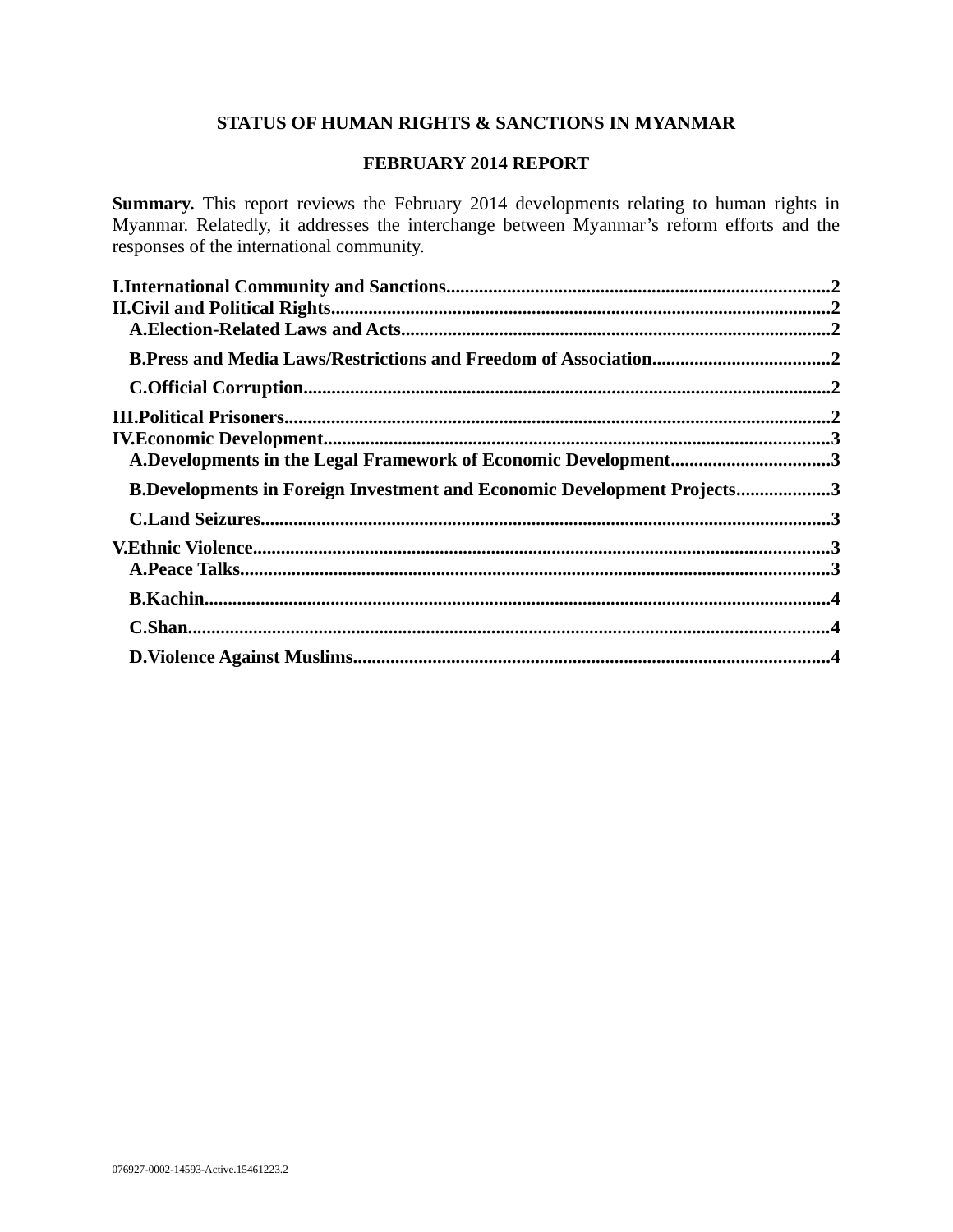# **STATUS OF HUMAN RIGHTS & SANCTIONS IN MYANMAR**

#### **FEBRUARY 2014 REPORT**

**Summary.** This report reviews the February 2014 developments relating to human rights in Myanmar. Relatedly, it addresses the interchange between Myanmar's reform efforts and the responses of the international community.

| A.Developments in the Legal Framework of Economic Development3                 |  |
|--------------------------------------------------------------------------------|--|
| <b>B.Developments in Foreign Investment and Economic Development Projects3</b> |  |
|                                                                                |  |
|                                                                                |  |
|                                                                                |  |
|                                                                                |  |
|                                                                                |  |
|                                                                                |  |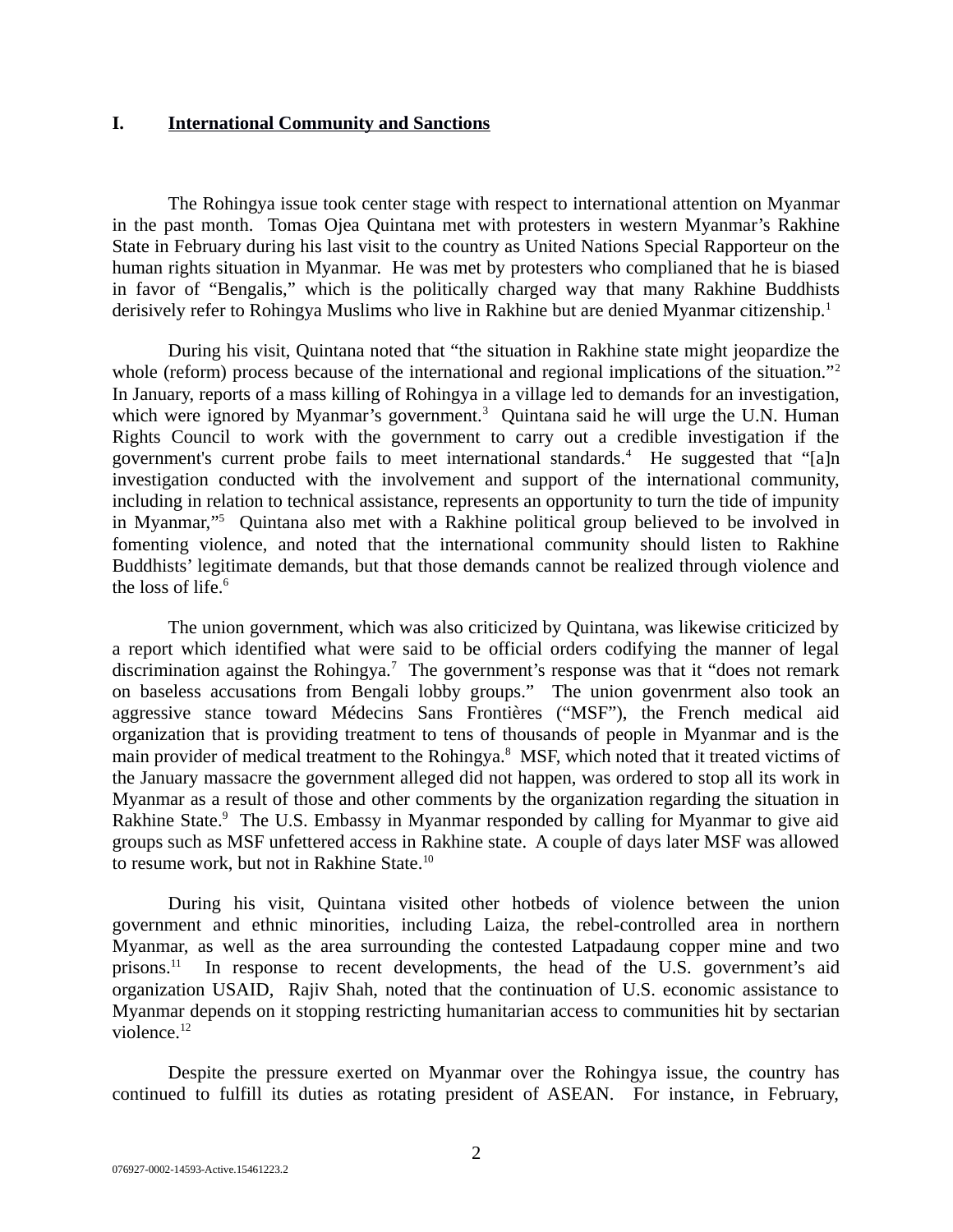#### **I. International Community and Sanctions**

The Rohingya issue took center stage with respect to international attention on Myanmar in the past month. Tomas Ojea Quintana met with protesters in western Myanmar's Rakhine State in February during his last visit to the country as United Nations Special Rapporteur on the human rights situation in Myanmar. He was met by protesters who complianed that he is biased in favor of "Bengalis," which is the politically charged way that many Rakhine Buddhists derisively refer to Rohingya Muslims who live in Rakhine but are denied Myanmar citizenship.<sup>1</sup>

During his visit, Quintana noted that "the situation in Rakhine state might jeopardize the whole (reform) process because of the international and regional implications of the situation."<sup>2</sup> In January, reports of a mass killing of Rohingya in a village led to demands for an investigation, which were ignored by Myanmar's government.<sup>3</sup> Quintana said he will urge the U.N. Human Rights Council to work with the government to carry out a credible investigation if the government's current probe fails to meet international standards.<sup>4</sup> He suggested that "[a]n investigation conducted with the involvement and support of the international community, including in relation to technical assistance, represents an opportunity to turn the tide of impunity in Myanmar,"<sup>5</sup> Quintana also met with a Rakhine political group believed to be involved in fomenting violence, and noted that the international community should listen to Rakhine Buddhists' legitimate demands, but that those demands cannot be realized through violence and the loss of life. $^6$ 

The union government, which was also criticized by Quintana, was likewise criticized by a report which identified what were said to be official orders codifying the manner of legal discrimination against the Rohingya.<sup>7</sup> The government's response was that it "does not remark on baseless accusations from Bengali lobby groups." The union govenrment also took an aggressive stance toward Médecins Sans Frontières ("MSF"), the French medical aid organization that is providing treatment to tens of thousands of people in Myanmar and is the main provider of medical treatment to the Rohingya.<sup>8</sup> MSF, which noted that it treated victims of the January massacre the government alleged did not happen, was ordered to stop all its work in Myanmar as a result of those and other comments by the organization regarding the situation in Rakhine State.<sup>9</sup> The U.S. Embassy in Myanmar responded by calling for Myanmar to give aid groups such as MSF unfettered access in Rakhine state. A couple of days later MSF was allowed to resume work, but not in Rakhine State.<sup>10</sup>

During his visit, Quintana visited other hotbeds of violence between the union government and ethnic minorities, including Laiza, the rebel-controlled area in northern Myanmar, as well as the area surrounding the contested Latpadaung copper mine and two prisons.<sup>11</sup> In response to recent developments, the head of the U.S. government's aid organization USAID, Rajiv Shah, noted that the continuation of U.S. economic assistance to Myanmar depends on it stopping restricting humanitarian access to communities hit by sectarian violence.<sup>12</sup>

Despite the pressure exerted on Myanmar over the Rohingya issue, the country has continued to fulfill its duties as rotating president of ASEAN. For instance, in February,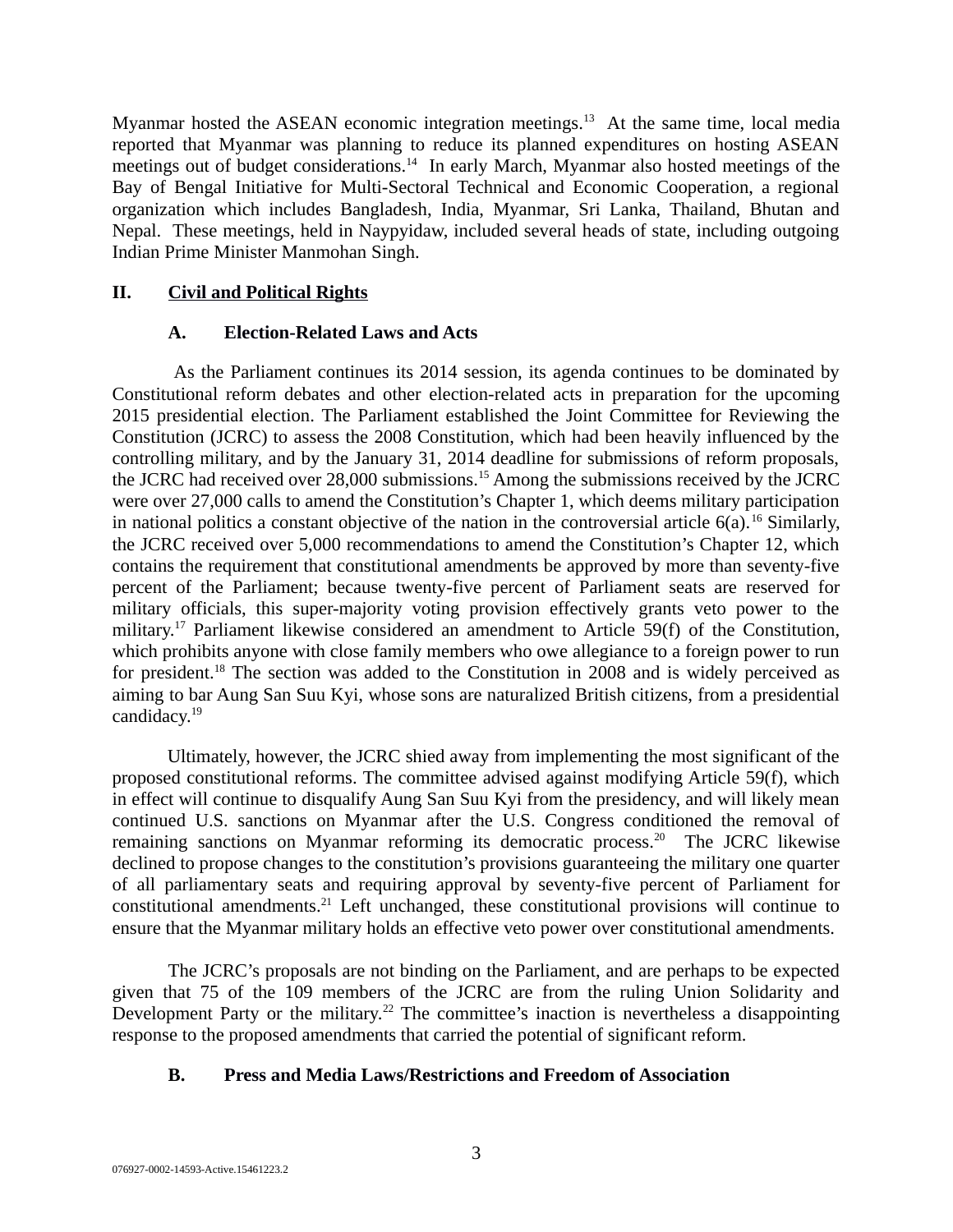Myanmar hosted the ASEAN economic integration meetings. $13$  At the same time, local media reported that Myanmar was planning to reduce its planned expenditures on hosting ASEAN meetings out of budget considerations.<sup>14</sup> In early March, Myanmar also hosted meetings of the Bay of Bengal Initiative for Multi-Sectoral Technical and Economic Cooperation, a regional organization which includes Bangladesh, India, Myanmar, Sri Lanka, Thailand, Bhutan and Nepal. These meetings, held in Naypyidaw, included several heads of state, including outgoing Indian Prime Minister Manmohan Singh.

# **II. Civil and Political Rights**

# **A. Election-Related Laws and Acts**

As the Parliament continues its 2014 session, its agenda continues to be dominated by Constitutional reform debates and other election-related acts in preparation for the upcoming 2015 presidential election. The Parliament established the Joint Committee for Reviewing the Constitution (JCRC) to assess the 2008 Constitution, which had been heavily influenced by the controlling military, and by the January 31, 2014 deadline for submissions of reform proposals, the JCRC had received over 28,000 submissions.<sup>15</sup> Among the submissions received by the JCRC were over 27,000 calls to amend the Constitution's Chapter 1, which deems military participation in national politics a constant objective of the nation in the controversial article  $6(a)$ .<sup>16</sup> Similarly, the JCRC received over 5,000 recommendations to amend the Constitution's Chapter 12, which contains the requirement that constitutional amendments be approved by more than seventy-five percent of the Parliament; because twenty-five percent of Parliament seats are reserved for military officials, this super-majority voting provision effectively grants veto power to the military.<sup>17</sup> Parliament likewise considered an amendment to Article 59(f) of the Constitution, which prohibits anyone with close family members who owe allegiance to a foreign power to run for president.<sup>18</sup> The section was added to the Constitution in 2008 and is widely perceived as aiming to bar Aung San Suu Kyi, whose sons are naturalized British citizens, from a presidential candidacy.<sup>19</sup>

Ultimately, however, the JCRC shied away from implementing the most significant of the proposed constitutional reforms. The committee advised against modifying Article 59(f), which in effect will continue to disqualify Aung San Suu Kyi from the presidency, and will likely mean continued U.S. sanctions on Myanmar after the U.S. Congress conditioned the removal of remaining sanctions on Myanmar reforming its democratic process.<sup>20</sup> The JCRC likewise declined to propose changes to the constitution's provisions guaranteeing the military one quarter of all parliamentary seats and requiring approval by seventy-five percent of Parliament for constitutional amendments.<sup>21</sup> Left unchanged, these constitutional provisions will continue to ensure that the Myanmar military holds an effective veto power over constitutional amendments.

The JCRC's proposals are not binding on the Parliament, and are perhaps to be expected given that 75 of the 109 members of the JCRC are from the ruling Union Solidarity and Development Party or the military.<sup>22</sup> The committee's inaction is nevertheless a disappointing response to the proposed amendments that carried the potential of significant reform.

# **B. Press and Media Laws/Restrictions and Freedom of Association**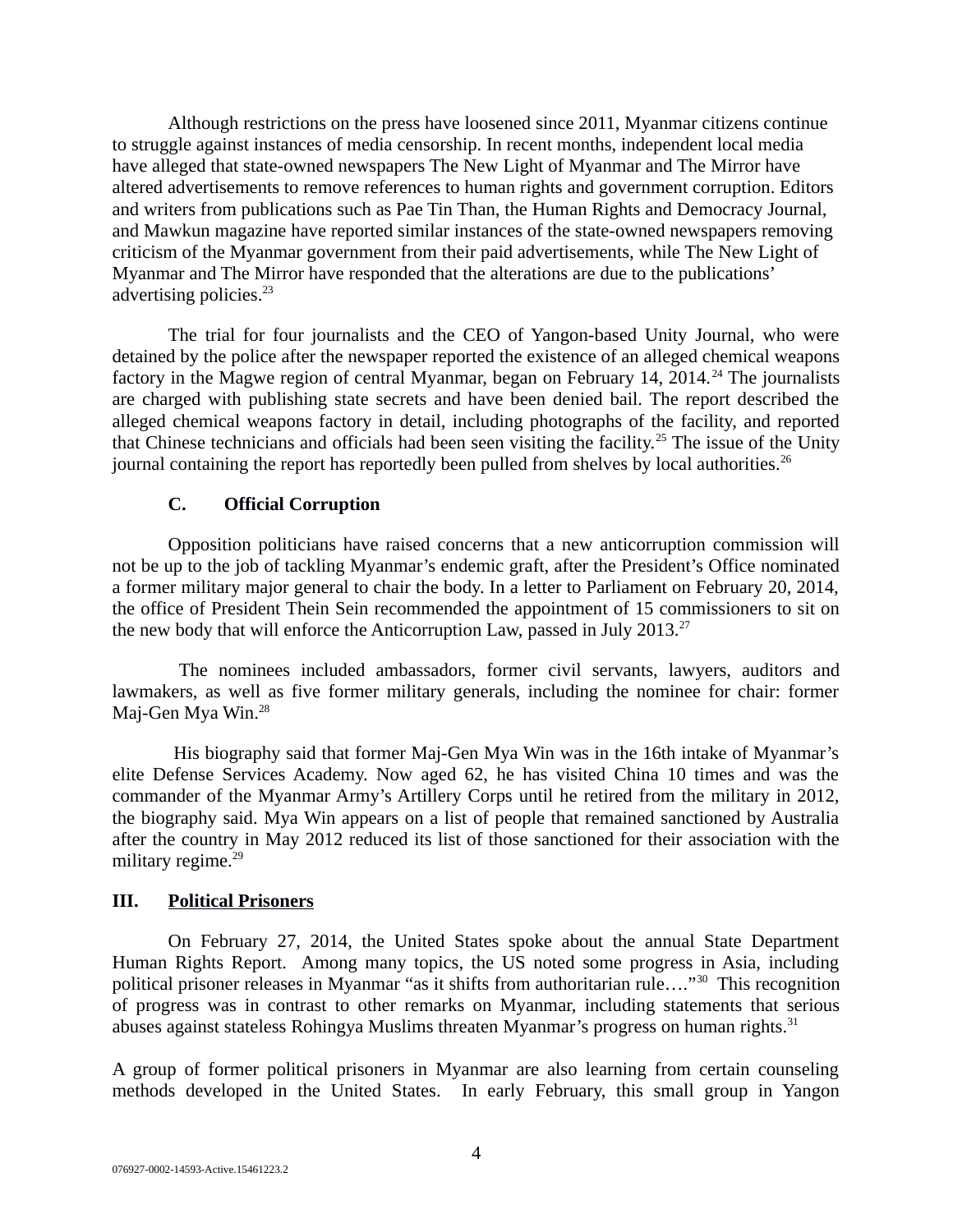Although restrictions on the press have loosened since 2011, Myanmar citizens continue to struggle against instances of media censorship. In recent months, independent local media have alleged that state-owned newspapers The New Light of Myanmar and The Mirror have altered advertisements to remove references to human rights and government corruption. Editors and writers from publications such as Pae Tin Than, the Human Rights and Democracy Journal, and Mawkun magazine have reported similar instances of the state-owned newspapers removing criticism of the Myanmar government from their paid advertisements, while The New Light of Myanmar and The Mirror have responded that the alterations are due to the publications' advertising policies. $23$ 

The trial for four journalists and the CEO of Yangon-based Unity Journal, who were detained by the police after the newspaper reported the existence of an alleged chemical weapons factory in the Magwe region of central Myanmar, began on February 14, 2014.<sup>24</sup> The journalists are charged with publishing state secrets and have been denied bail. The report described the alleged chemical weapons factory in detail, including photographs of the facility, and reported that Chinese technicians and officials had been seen visiting the facility.<sup>25</sup> The issue of the Unity journal containing the report has reportedly been pulled from shelves by local authorities. $^{26}$ 

# **C. Official Corruption**

Opposition politicians have raised concerns that a new anticorruption commission will not be up to the job of tackling Myanmar's endemic graft, after the President's Office nominated a former military major general to chair the body. In a letter to Parliament on February 20, 2014, the office of President Thein Sein recommended the appointment of 15 commissioners to sit on the new body that will enforce the Anticorruption Law, passed in July 2013. $^{27}$ 

The nominees included ambassadors, former civil servants, lawyers, auditors and lawmakers, as well as five former military generals, including the nominee for chair: former Maj-Gen Mya Win.<sup>28</sup>

His biography said that former Maj-Gen Mya Win was in the 16th intake of Myanmar's elite Defense Services Academy. Now aged 62, he has visited China 10 times and was the commander of the Myanmar Army's Artillery Corps until he retired from the military in 2012, the biography said. Mya Win appears on a list of people that remained sanctioned by Australia after the country in May 2012 reduced its list of those sanctioned for their association with the military regime. $29$ 

#### **III. Political Prisoners**

On February 27, 2014, the United States spoke about the annual State Department Human Rights Report. Among many topics, the US noted some progress in Asia, including political prisoner releases in Myanmar "as it shifts from authoritarian rule…."<sup>30</sup> This recognition of progress was in contrast to other remarks on Myanmar, including statements that serious abuses against stateless Rohingya Muslims threaten Myanmar's progress on human rights. $31$ 

A group of former political prisoners in Myanmar are also learning from certain counseling methods developed in the United States. In early February, this small group in Yangon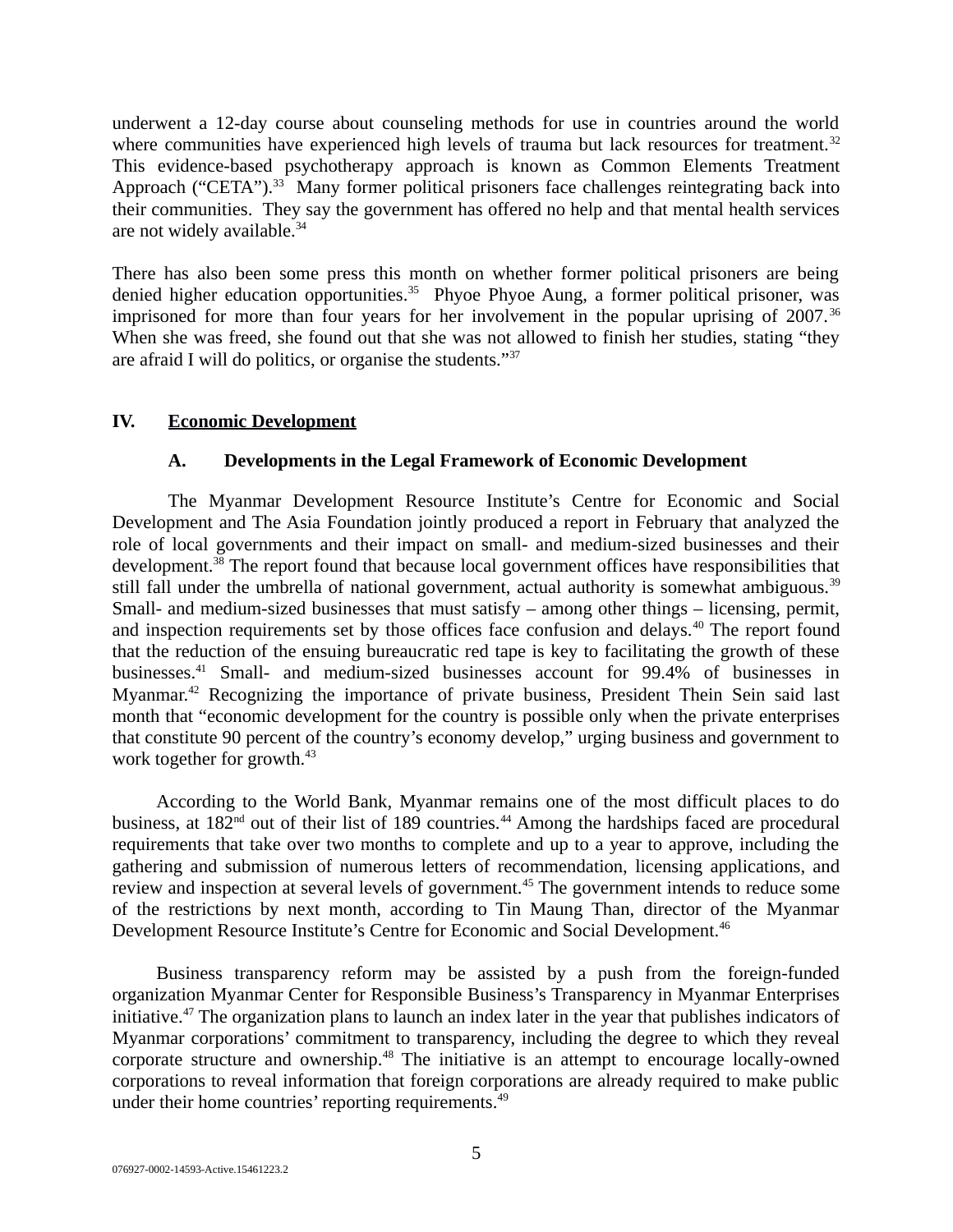underwent a 12-day course about counseling methods for use in countries around the world where communities have experienced high levels of trauma but lack resources for treatment.<sup>32</sup> This evidence-based psychotherapy approach is known as Common Elements Treatment Approach ("CETA").<sup>33</sup> Many former political prisoners face challenges reintegrating back into their communities. They say the government has offered no help and that mental health services are not widely available.<sup>34</sup>

There has also been some press this month on whether former political prisoners are being denied higher education opportunities.<sup>35</sup> Phyoe Phyoe Aung, a former political prisoner, was imprisoned for more than four years for her involvement in the popular uprising of 2007.<sup>36</sup> When she was freed, she found out that she was not allowed to finish her studies, stating "they are afraid I will do politics, or organise the students."<sup>37</sup>

# **IV. Economic Development**

#### **A. Developments in the Legal Framework of Economic Development**

The Myanmar Development Resource Institute's Centre for Economic and Social Development and The Asia Foundation jointly produced a report in February that analyzed the role of local governments and their impact on small- and medium-sized businesses and their development.<sup>38</sup> The report found that because local government offices have responsibilities that still fall under the umbrella of national government, actual authority is somewhat ambiguous.<sup>39</sup> Small- and medium-sized businesses that must satisfy – among other things – licensing, permit, and inspection requirements set by those offices face confusion and delays.<sup>40</sup> The report found that the reduction of the ensuing bureaucratic red tape is key to facilitating the growth of these businesses.<sup>41</sup> Small- and medium-sized businesses account for 99.4% of businesses in Myanmar.<sup>42</sup> Recognizing the importance of private business, President Thein Sein said last month that "economic development for the country is possible only when the private enterprises that constitute 90 percent of the country's economy develop," urging business and government to work together for growth.<sup>43</sup>

According to the World Bank, Myanmar remains one of the most difficult places to do business, at 182<sup>nd</sup> out of their list of 189 countries.<sup>44</sup> Among the hardships faced are procedural requirements that take over two months to complete and up to a year to approve, including the gathering and submission of numerous letters of recommendation, licensing applications, and review and inspection at several levels of government.<sup>45</sup> The government intends to reduce some of the restrictions by next month, according to Tin Maung Than, director of the Myanmar Development Resource Institute's Centre for Economic and Social Development.<sup>46</sup>

Business transparency reform may be assisted by a push from the foreign-funded organization Myanmar Center for Responsible Business's Transparency in Myanmar Enterprises initiative.<sup>47</sup> The organization plans to launch an index later in the year that publishes indicators of Myanmar corporations' commitment to transparency, including the degree to which they reveal corporate structure and ownership.<sup>48</sup> The initiative is an attempt to encourage locally-owned corporations to reveal information that foreign corporations are already required to make public under their home countries' reporting requirements.<sup>49</sup>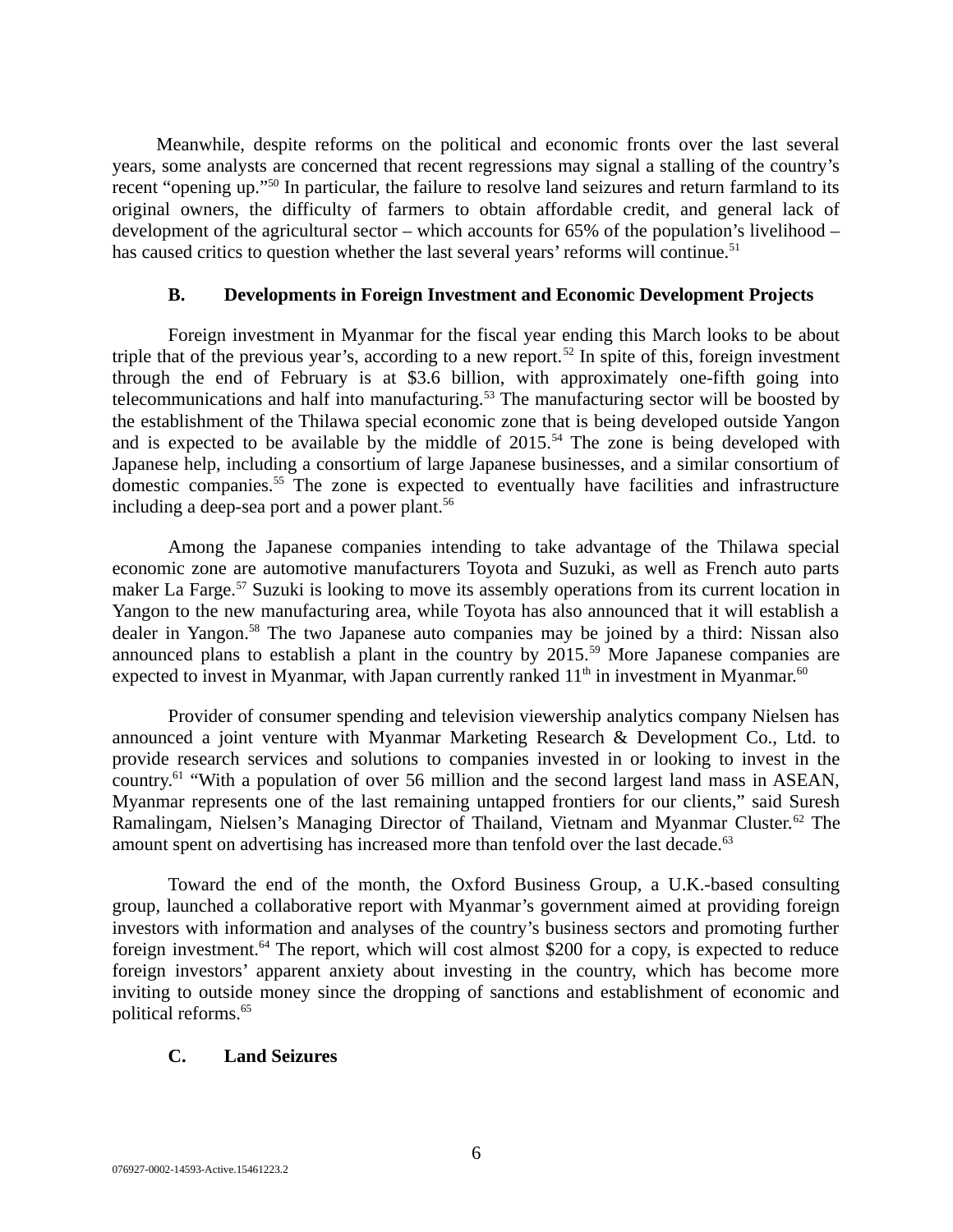Meanwhile, despite reforms on the political and economic fronts over the last several years, some analysts are concerned that recent regressions may signal a stalling of the country's recent "opening up."<sup>50</sup> In particular, the failure to resolve land seizures and return farmland to its original owners, the difficulty of farmers to obtain affordable credit, and general lack of development of the agricultural sector – which accounts for 65% of the population's livelihood – has caused critics to question whether the last several years' reforms will continue.<sup>51</sup>

#### **B. Developments in Foreign Investment and Economic Development Projects**

Foreign investment in Myanmar for the fiscal year ending this March looks to be about triple that of the previous year's, according to a new report.<sup>52</sup> In spite of this, foreign investment through the end of February is at \$3.6 billion, with approximately one-fifth going into telecommunications and half into manufacturing. $53$  The manufacturing sector will be boosted by the establishment of the Thilawa special economic zone that is being developed outside Yangon and is expected to be available by the middle of  $2015<sup>54</sup>$  The zone is being developed with Japanese help, including a consortium of large Japanese businesses, and a similar consortium of domestic companies.<sup>55</sup> The zone is expected to eventually have facilities and infrastructure including a deep-sea port and a power plant.<sup>56</sup>

Among the Japanese companies intending to take advantage of the Thilawa special economic zone are automotive manufacturers Toyota and Suzuki, as well as French auto parts maker La Farge.<sup>57</sup> Suzuki is looking to move its assembly operations from its current location in Yangon to the new manufacturing area, while Toyota has also announced that it will establish a dealer in Yangon.<sup>58</sup> The two Japanese auto companies may be joined by a third: Nissan also announced plans to establish a plant in the country by  $2015$ .<sup>59</sup> More Japanese companies are expected to invest in Myanmar, with Japan currently ranked  $11<sup>th</sup>$  in investment in Myanmar.<sup>60</sup>

Provider of consumer spending and television viewership analytics company Nielsen has announced a joint venture with Myanmar Marketing Research & Development Co., Ltd. to provide research services and solutions to companies invested in or looking to invest in the country.<sup>61</sup> "With a population of over 56 million and the second largest land mass in ASEAN, Myanmar represents one of the last remaining untapped frontiers for our clients," said Suresh Ramalingam, Nielsen's Managing Director of Thailand, Vietnam and Myanmar Cluster.<sup>62</sup> The amount spent on advertising has increased more than tenfold over the last decade. $63$ 

Toward the end of the month, the Oxford Business Group, a U.K.-based consulting group, launched a collaborative report with Myanmar's government aimed at providing foreign investors with information and analyses of the country's business sectors and promoting further foreign investment.<sup>64</sup> The report, which will cost almost \$200 for a copy, is expected to reduce foreign investors' apparent anxiety about investing in the country, which has become more inviting to outside money since the dropping of sanctions and establishment of economic and political reforms.<sup>65</sup>

#### **C. Land Seizures**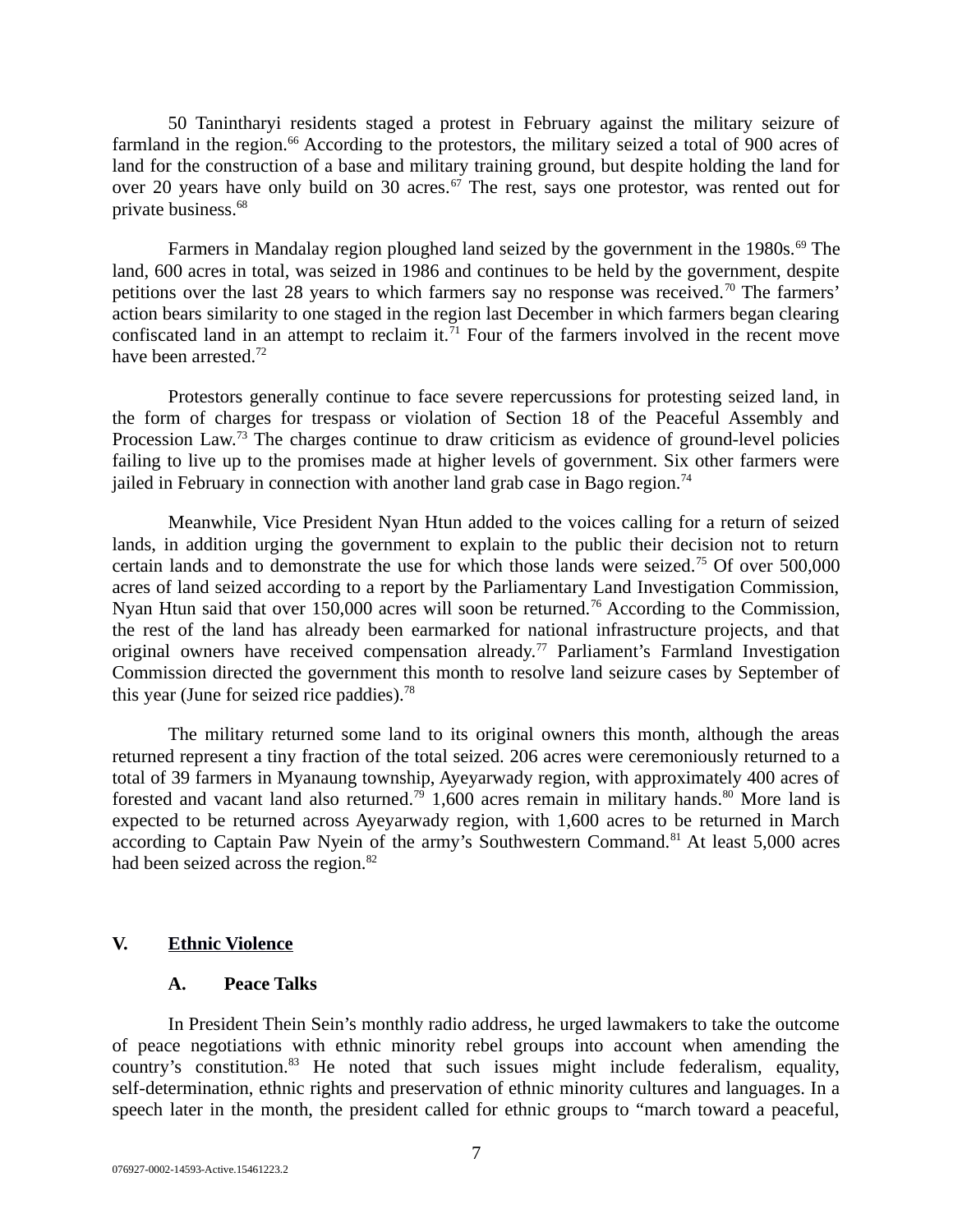50 Tanintharyi residents staged a protest in February against the military seizure of farmland in the region.<sup>66</sup> According to the protestors, the military seized a total of 900 acres of land for the construction of a base and military training ground, but despite holding the land for over 20 years have only build on 30 acres. $67$  The rest, says one protestor, was rented out for private business.<sup>68</sup>

Farmers in Mandalay region ploughed land seized by the government in the 1980s. $^{69}$  The land, 600 acres in total, was seized in 1986 and continues to be held by the government, despite petitions over the last 28 years to which farmers say no response was received.<sup>70</sup> The farmers' action bears similarity to one staged in the region last December in which farmers began clearing confiscated land in an attempt to reclaim it.<sup>71</sup> Four of the farmers involved in the recent move have been arrested.<sup>72</sup>

Protestors generally continue to face severe repercussions for protesting seized land, in the form of charges for trespass or violation of Section 18 of the Peaceful Assembly and Procession Law.<sup>73</sup> The charges continue to draw criticism as evidence of ground-level policies failing to live up to the promises made at higher levels of government. Six other farmers were jailed in February in connection with another land grab case in Bago region.<sup>74</sup>

Meanwhile, Vice President Nyan Htun added to the voices calling for a return of seized lands, in addition urging the government to explain to the public their decision not to return certain lands and to demonstrate the use for which those lands were seized.<sup>75</sup> Of over 500,000 acres of land seized according to a report by the Parliamentary Land Investigation Commission, Nyan Htun said that over 150,000 acres will soon be returned.<sup>76</sup> According to the Commission, the rest of the land has already been earmarked for national infrastructure projects, and that original owners have received compensation already.<sup>77</sup> Parliament's Farmland Investigation Commission directed the government this month to resolve land seizure cases by September of this year (June for seized rice paddies). $78$ 

The military returned some land to its original owners this month, although the areas returned represent a tiny fraction of the total seized. 206 acres were ceremoniously returned to a total of 39 farmers in Myanaung township, Ayeyarwady region, with approximately 400 acres of forested and vacant land also returned.<sup>79</sup> 1,600 acres remain in military hands.<sup>80</sup> More land is expected to be returned across Ayeyarwady region, with 1,600 acres to be returned in March according to Captain Paw Nyein of the army's Southwestern Command.<sup>81</sup> At least 5,000 acres had been seized across the region.<sup>82</sup>

#### **V. Ethnic Violence**

### **A. Peace Talks**

In President Thein Sein's monthly radio address, he urged lawmakers to take the outcome of peace negotiations with ethnic minority rebel groups into account when amending the country's constitution.<sup>83</sup> He noted that such issues might include federalism, equality, self-determination, ethnic rights and preservation of ethnic minority cultures and languages. In a speech later in the month, the president called for ethnic groups to "march toward a peaceful,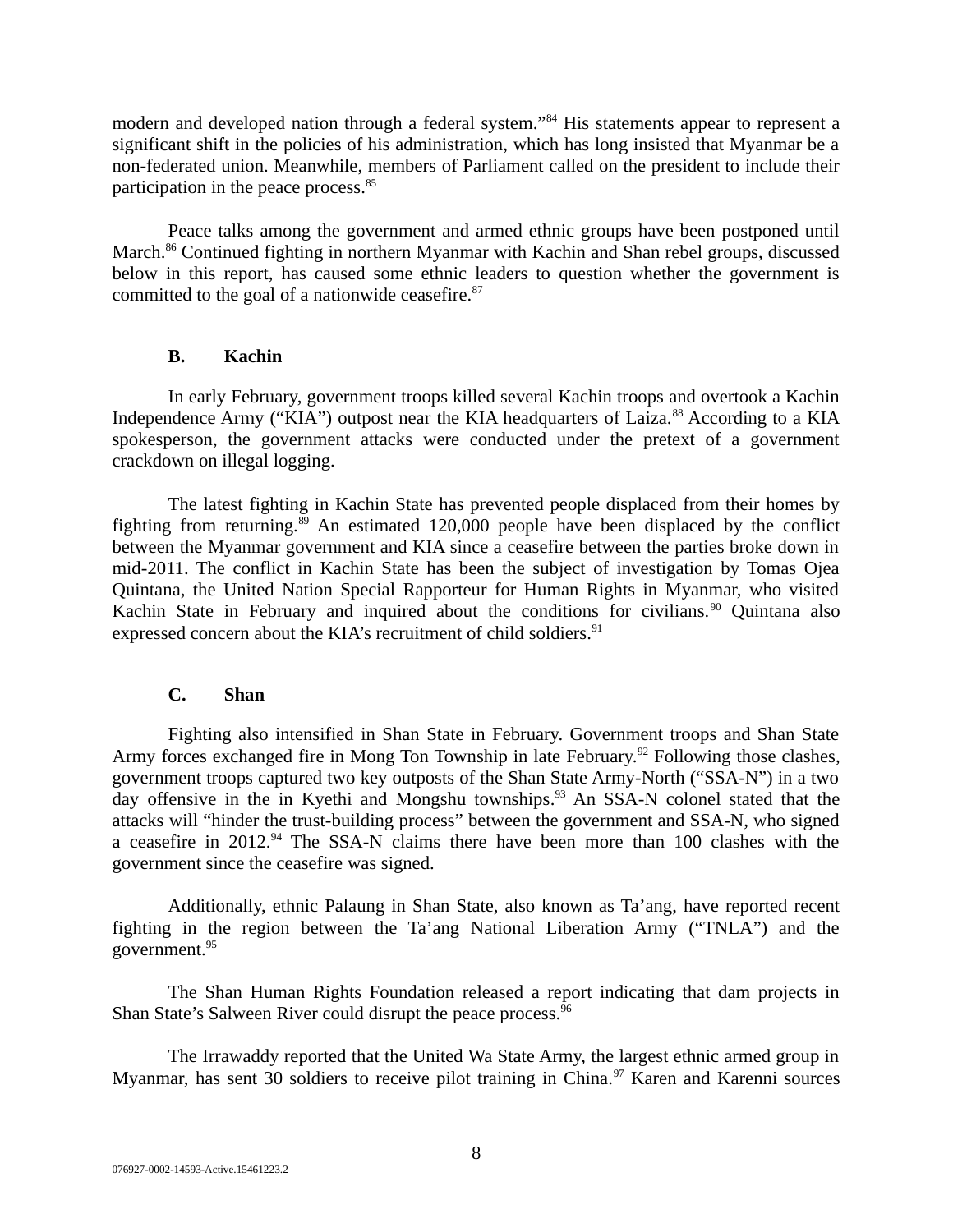modern and developed nation through a federal system."<sup>84</sup> His statements appear to represent a significant shift in the policies of his administration, which has long insisted that Myanmar be a non-federated union. Meanwhile, members of Parliament called on the president to include their participation in the peace process. $85$ 

Peace talks among the government and armed ethnic groups have been postponed until March.<sup>86</sup> Continued fighting in northern Myanmar with Kachin and Shan rebel groups, discussed below in this report, has caused some ethnic leaders to question whether the government is committed to the goal of a nationwide ceasefire. $87$ 

# **B. Kachin**

In early February, government troops killed several Kachin troops and overtook a Kachin Independence Army ("KIA") outpost near the KIA headquarters of Laiza.<sup>88</sup> According to a KIA spokesperson, the government attacks were conducted under the pretext of a government crackdown on illegal logging.

The latest fighting in Kachin State has prevented people displaced from their homes by fighting from returning.<sup>89</sup> An estimated 120,000 people have been displaced by the conflict between the Myanmar government and KIA since a ceasefire between the parties broke down in mid-2011. The conflict in Kachin State has been the subject of investigation by Tomas Ojea Quintana, the United Nation Special Rapporteur for Human Rights in Myanmar, who visited Kachin State in February and inquired about the conditions for civilians.<sup>90</sup> Quintana also expressed concern about the KIA's recruitment of child soldiers.<sup>91</sup>

#### **C. Shan**

Fighting also intensified in Shan State in February. Government troops and Shan State Army forces exchanged fire in Mong Ton Township in late February.<sup>92</sup> Following those clashes, government troops captured two key outposts of the Shan State Army-North ("SSA-N") in a two day offensive in the in Kyethi and Mongshu townships.<sup>93</sup> An SSA-N colonel stated that the attacks will "hinder the trust-building process" between the government and SSA-N, who signed a ceasefire in 2012. $94$  The SSA-N claims there have been more than 100 clashes with the government since the ceasefire was signed.

Additionally, ethnic Palaung in Shan State, also known as Ta'ang, have reported recent fighting in the region between the Ta'ang National Liberation Army ("TNLA") and the government.<sup>95</sup>

The Shan Human Rights Foundation released a report indicating that dam projects in Shan State's Salween River could disrupt the peace process.<sup>96</sup>

The Irrawaddy reported that the United Wa State Army, the largest ethnic armed group in Myanmar, has sent 30 soldiers to receive pilot training in China. $97$  Karen and Karenni sources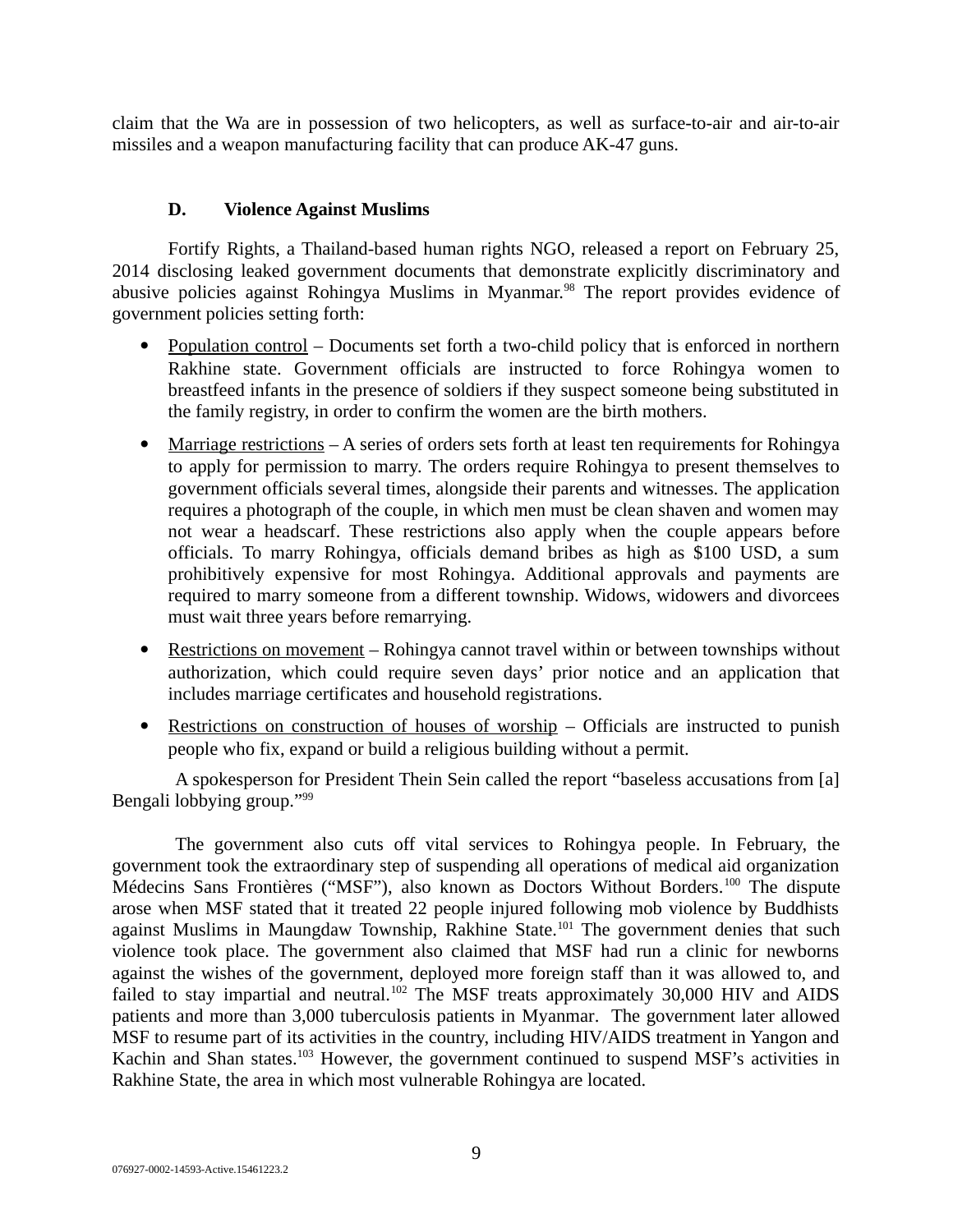claim that the Wa are in possession of two helicopters, as well as surface-to-air and air-to-air missiles and a weapon manufacturing facility that can produce AK-47 guns.

# **D. Violence Against Muslims**

Fortify Rights, a Thailand-based human rights NGO, released a report on February 25, 2014 disclosing leaked government documents that demonstrate explicitly discriminatory and abusive policies against Rohingya Muslims in Myanmar.<sup>98</sup> The report provides evidence of government policies setting forth:

- Population control Documents set forth a two-child policy that is enforced in northern Rakhine state. Government officials are instructed to force Rohingya women to breastfeed infants in the presence of soldiers if they suspect someone being substituted in the family registry, in order to confirm the women are the birth mothers.
- Marriage restrictions  $-A$  series of orders sets forth at least ten requirements for Rohingya to apply for permission to marry. The orders require Rohingya to present themselves to government officials several times, alongside their parents and witnesses. The application requires a photograph of the couple, in which men must be clean shaven and women may not wear a headscarf. These restrictions also apply when the couple appears before officials. To marry Rohingya, officials demand bribes as high as \$100 USD, a sum prohibitively expensive for most Rohingya. Additional approvals and payments are required to marry someone from a different township. Widows, widowers and divorcees must wait three years before remarrying.
- Restrictions on movement Rohingya cannot travel within or between townships without authorization, which could require seven days' prior notice and an application that includes marriage certificates and household registrations.
- Restrictions on construction of houses of worship Officials are instructed to punish people who fix, expand or build a religious building without a permit.

A spokesperson for President Thein Sein called the report "baseless accusations from [a] Bengali lobbying group."<sup>99</sup>

The government also cuts off vital services to Rohingya people. In February, the government took the extraordinary step of suspending all operations of medical aid organization Médecins Sans Frontières ("MSF"), also known as Doctors Without Borders.<sup>100</sup> The dispute arose when MSF stated that it treated 22 people injured following mob violence by Buddhists against Muslims in Maungdaw Township, Rakhine State.<sup>101</sup> The government denies that such violence took place. The government also claimed that MSF had run a clinic for newborns against the wishes of the government, deployed more foreign staff than it was allowed to, and failed to stay impartial and neutral.<sup>102</sup> The MSF treats approximately 30,000 HIV and AIDS patients and more than 3,000 tuberculosis patients in Myanmar. The government later allowed MSF to resume part of its activities in the country, including HIV/AIDS treatment in Yangon and Kachin and Shan states.<sup>103</sup> However, the government continued to suspend MSF's activities in Rakhine State, the area in which most vulnerable Rohingya are located.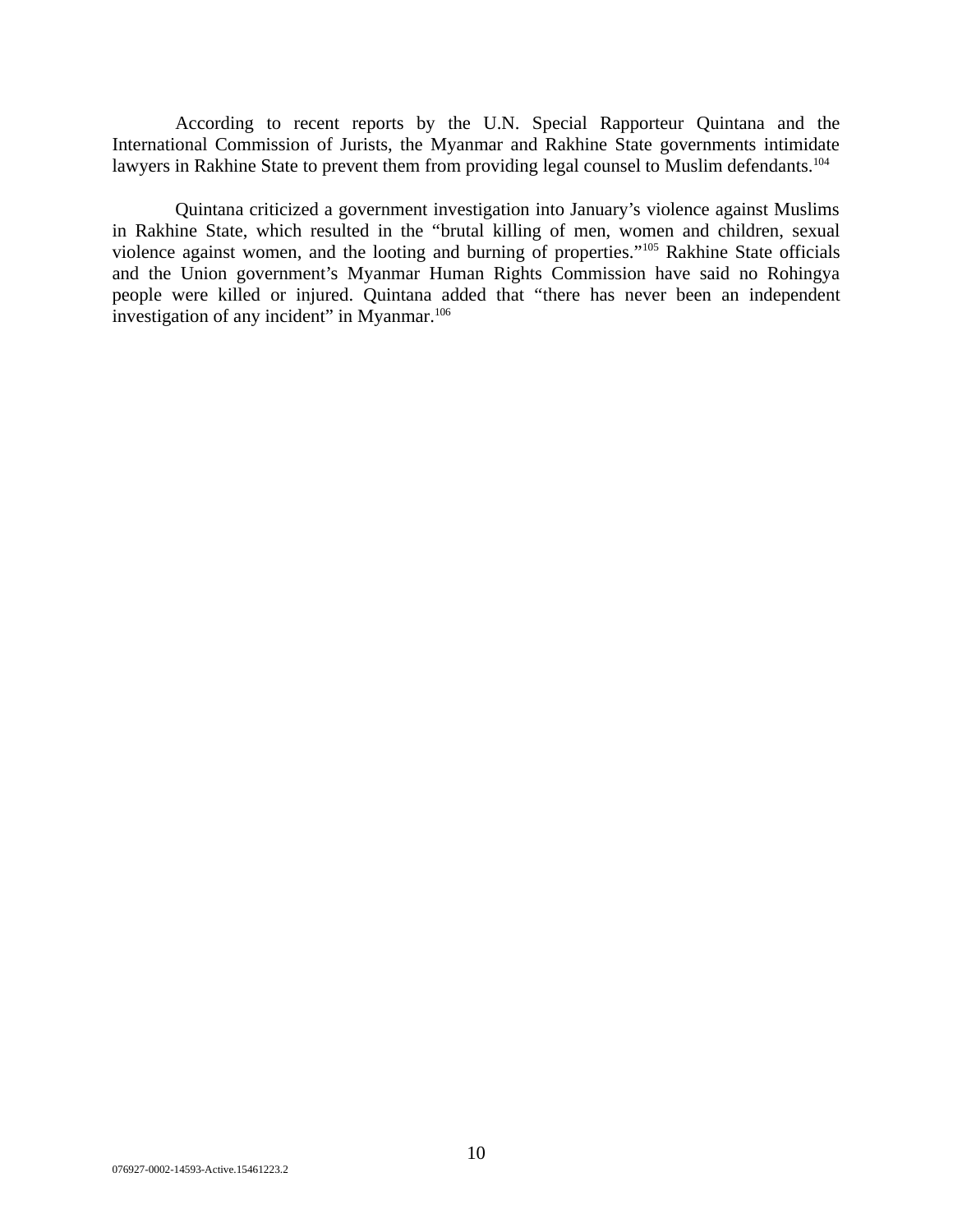According to recent reports by the U.N. Special Rapporteur Quintana and the International Commission of Jurists, the Myanmar and Rakhine State governments intimidate lawyers in Rakhine State to prevent them from providing legal counsel to Muslim defendants.<sup>104</sup>

Quintana criticized a government investigation into January's violence against Muslims in Rakhine State, which resulted in the "brutal killing of men, women and children, sexual violence against women, and the looting and burning of properties."<sup>105</sup> Rakhine State officials and the Union government's Myanmar Human Rights Commission have said no Rohingya people were killed or injured. Quintana added that "there has never been an independent investigation of any incident" in Myanmar. 106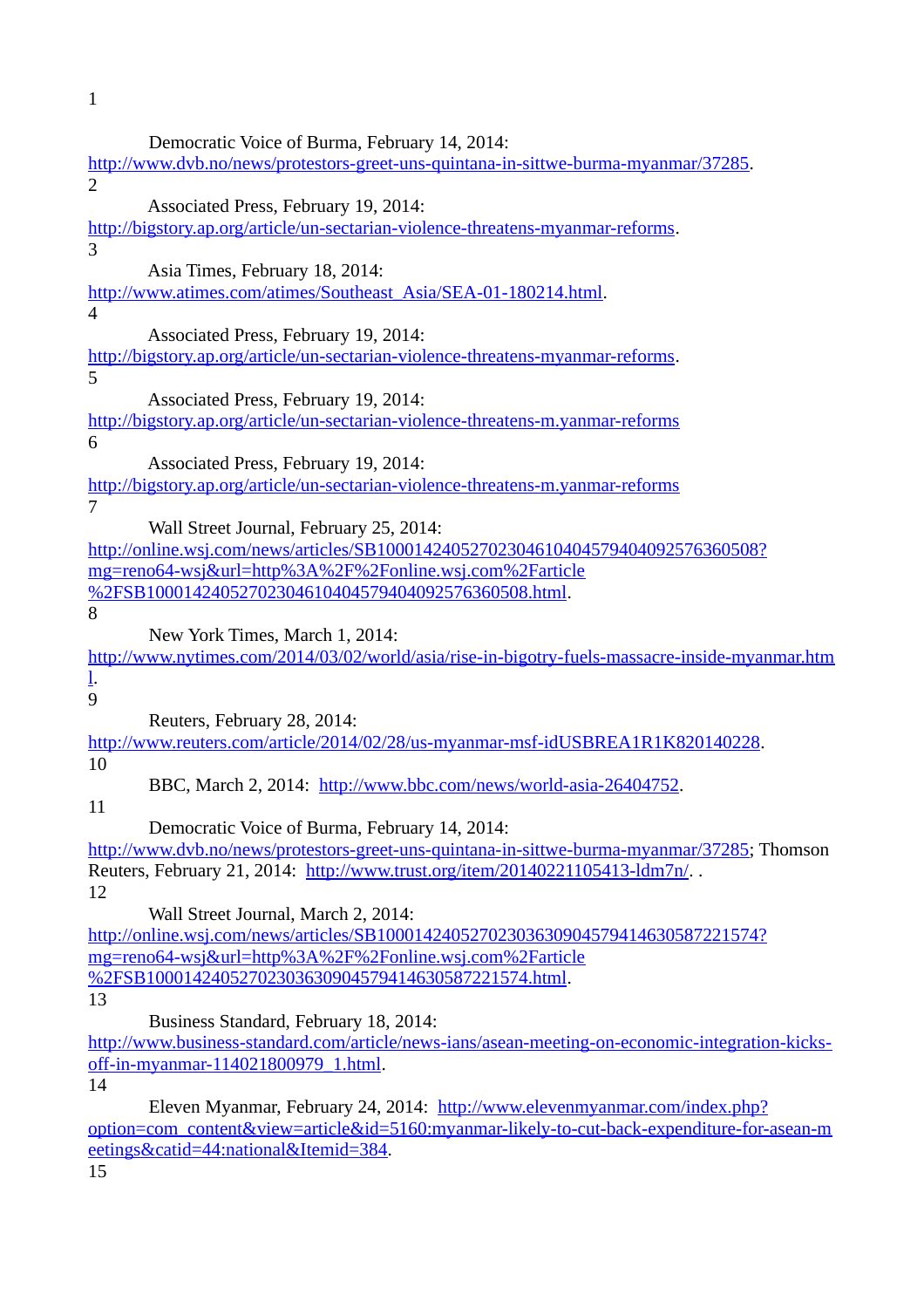1

| Democratic Voice of Burma, February 14, 2014:                                                   |
|-------------------------------------------------------------------------------------------------|
| http://www.dvb.no/news/protestors-greet-uns-quintana-in-sittwe-burma-myanmar/37285.             |
| 2                                                                                               |
| Associated Press, February 19, 2014:                                                            |
| http://bigstory.ap.org/article/un-sectarian-violence-threatens-myanmar-reforms.                 |
| 3                                                                                               |
| Asia Times, February 18, 2014:                                                                  |
| http://www.atimes.com/atimes/Southeast_Asia/SEA-01-180214.html.                                 |
| $\overline{4}$                                                                                  |
| Associated Press, February 19, 2014:                                                            |
| http://bigstory.ap.org/article/un-sectarian-violence-threatens-myanmar-reforms.                 |
| 5                                                                                               |
| Associated Press, February 19, 2014:                                                            |
| http://bigstory.ap.org/article/un-sectarian-violence-threatens-m.yanmar-reforms                 |
| 6                                                                                               |
| Associated Press, February 19, 2014:                                                            |
| http://bigstory.ap.org/article/un-sectarian-violence-threatens-m.yanmar-reforms                 |
| 7                                                                                               |
| Wall Street Journal, February 25, 2014:                                                         |
| http://online.wsj.com/news/articles/SB10001424052702304610404579404092576360508?                |
| mg=reno64-wsj&url=http%3A%2F%2Fonline.wsj.com%2Farticle                                         |
| %2FSB10001424052702304610404579404092576360508.html.                                            |
| 8                                                                                               |
| New York Times, March 1, 2014:                                                                  |
| http://www.nytimes.com/2014/03/02/world/asia/rise-in-bigotry-fuels-massacre-inside-myanmar.htm  |
| $\underline{l}$ .                                                                               |
| 9                                                                                               |
| Reuters, February 28, 2014:                                                                     |
| http://www.reuters.com/article/2014/02/28/us-myanmar-msf-idUSBREA1R1K820140228.                 |
| 10                                                                                              |
| BBC, March 2, 2014: http://www.bbc.com/news/world-asia-26404752.                                |
| 11                                                                                              |
| Democratic Voice of Burma, February 14, 2014:                                                   |
| http://www.dvb.no/news/protestors-greet-uns-quintana-in-sittwe-burma-myanmar/37285; Thomson     |
| Reuters, February 21, 2014: http://www.trust.org/item/20140221105413-ldm7n/                     |
| 12                                                                                              |
| Wall Street Journal, March 2, 2014:                                                             |
| http://online.wsj.com/news/articles/SB10001424052702303630904579414630587221574?                |
| mg=reno64-wsj&url=http%3A%2F%2Fonline.wsj.com%2Farticle                                         |
| %2FSB10001424052702303630904579414630587221574.html.                                            |
| 13                                                                                              |
| Business Standard, February 18, 2014:                                                           |
| http://www.business-standard.com/article/news-ians/asean-meeting-on-economic-integration-kicks- |
| off-in-myanmar-114021800979_1.html.                                                             |
| 14                                                                                              |
| Eleven Myanmar, February 24, 2014: http://www.elevenmyanmar.com/index.php?                      |

[option=com\\_content&view=article&id=5160:myanmar-likely-to-cut-back-expenditure-for-asean-m](http://www.elevenmyanmar.com/index.php?option=com_content&view=article&id=5160:myanmar-likely-to-cut-back-expenditure-for-asean-meetings&catid=44:national&Itemid=384) [eetings&catid=44:national&Itemid=384.](http://www.elevenmyanmar.com/index.php?option=com_content&view=article&id=5160:myanmar-likely-to-cut-back-expenditure-for-asean-meetings&catid=44:national&Itemid=384)

15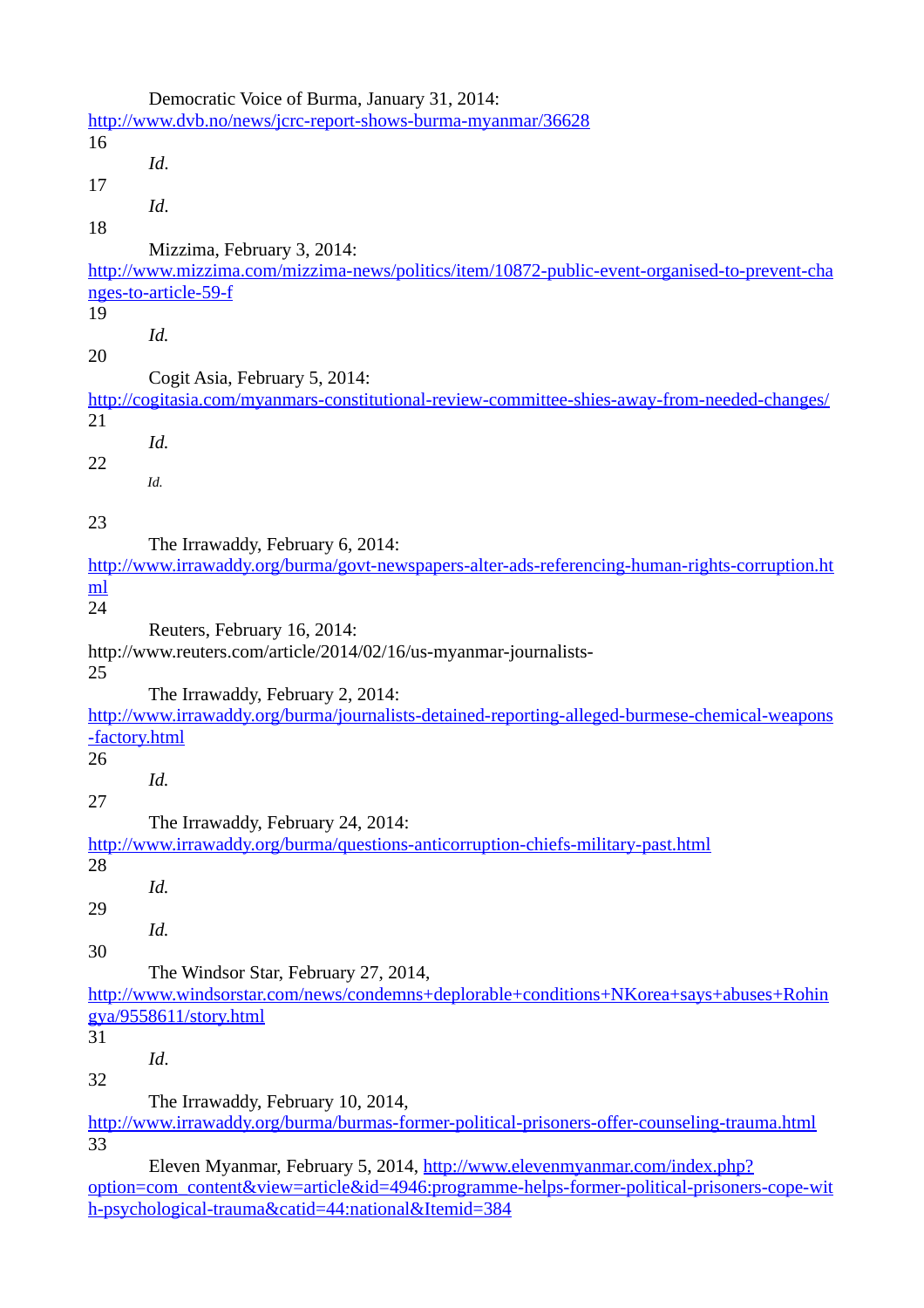|           | Democratic Voice of Burma, January 31, 2014:                                                    |
|-----------|-------------------------------------------------------------------------------------------------|
|           | http://www.dvb.no/news/jcrc-report-shows-burma-myanmar/36628                                    |
| 16        |                                                                                                 |
|           | Id.                                                                                             |
| 17        |                                                                                                 |
|           | Id.                                                                                             |
| 18        |                                                                                                 |
|           |                                                                                                 |
|           | Mizzima, February 3, 2014:                                                                      |
|           | http://www.mizzima.com/mizzima-news/politics/item/10872-public-event-organised-to-prevent-cha   |
|           | nges-to-article-59-f                                                                            |
| 19        |                                                                                                 |
|           | Id.                                                                                             |
| 20        |                                                                                                 |
|           | Cogit Asia, February 5, 2014:                                                                   |
|           | http://cogitasia.com/myanmars-constitutional-review-committee-shies-away-from-needed-changes/   |
| 21        |                                                                                                 |
|           | Id.                                                                                             |
| 22        |                                                                                                 |
|           | Id.                                                                                             |
|           |                                                                                                 |
| 23        |                                                                                                 |
|           | The Irrawaddy, February 6, 2014:                                                                |
|           | http://www.irrawaddy.org/burma/govt-newspapers-alter-ads-referencing-human-rights-corruption.ht |
| <u>ml</u> |                                                                                                 |
| 24        |                                                                                                 |
|           | Reuters, February 16, 2014:                                                                     |
|           | http://www.reuters.com/article/2014/02/16/us-myanmar-journalists-                               |
| 25        |                                                                                                 |
|           |                                                                                                 |
|           | The Irrawaddy, February 2, 2014:                                                                |
|           | http://www.irrawaddy.org/burma/journalists-detained-reporting-alleged-burmese-chemical-weapons  |
|           | -factory.html                                                                                   |
| 26        |                                                                                                 |
|           | Id.                                                                                             |
| 27        |                                                                                                 |
|           | The Irrawaddy, February 24, 2014:                                                               |
|           | http://www.irrawaddy.org/burma/questions-anticorruption-chiefs-military-past.html               |
| 28        |                                                                                                 |
|           | Id.                                                                                             |
| 29        |                                                                                                 |
|           | Id.                                                                                             |
| 30        |                                                                                                 |
|           | The Windsor Star, February 27, 2014,                                                            |
|           | http://www.windsorstar.com/news/condemns+deplorable+conditions+NKorea+says+abuses+Rohin         |
|           | gya/9558611/story.html                                                                          |
| 31        |                                                                                                 |
|           |                                                                                                 |
|           | Id.                                                                                             |
| 32        |                                                                                                 |
|           | The Irrawaddy, February 10, 2014,                                                               |
|           | http://www.irrawaddy.org/burma/burmas-former-political-prisoners-offer-counseling-trauma.html   |
| 33        |                                                                                                 |
|           |                                                                                                 |

 Eleven Myanmar, February 5, 2014, [http://www.elevenmyanmar.com/index.php?](http://www.elevenmyanmar.com/index.php?option=com_content&view=article&id=4946:programme-helps-former-political-prisoners-cope-with-psychological-trauma&catid=44:national&Itemid=384) [option=com\\_content&view=article&id=4946:programme-helps-former-political-prisoners-cope-wit](http://www.elevenmyanmar.com/index.php?option=com_content&view=article&id=4946:programme-helps-former-political-prisoners-cope-with-psychological-trauma&catid=44:national&Itemid=384) [h-psychological-trauma&catid=44:national&Itemid=384](http://www.elevenmyanmar.com/index.php?option=com_content&view=article&id=4946:programme-helps-former-political-prisoners-cope-with-psychological-trauma&catid=44:national&Itemid=384)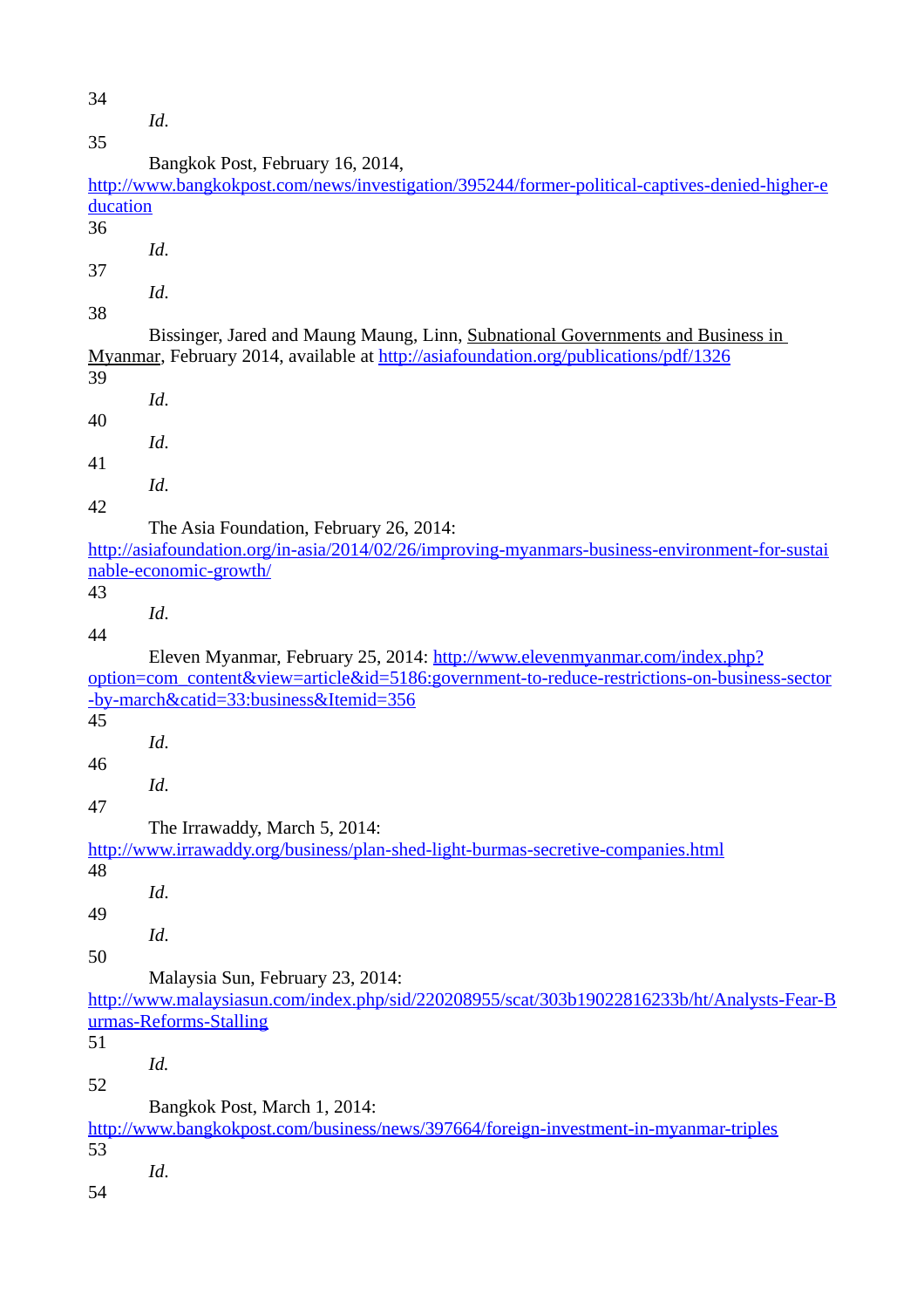34 *Id*. 35 Bangkok Post, February 16, 2014, [http://www.bangkokpost.com/news/investigation/395244/former-political-captives-denied-higher-e](http://www.bangkokpost.com/news/investigation/395244/former-political-captives-denied-higher-education) [ducation](http://www.bangkokpost.com/news/investigation/395244/former-political-captives-denied-higher-education) 36 *Id*. 37 *Id*. 38 Bissinger, Jared and Maung Maung, Linn, Subnational Governments and Business in Myanmar, February 2014, available at<http://asiafoundation.org/publications/pdf/1326> 39 *Id*. 40 *Id*. 41 *Id*. 42 The Asia Foundation, February 26, 2014: [http://asiafoundation.org/in-asia/2014/02/26/improving-myanmars-business-environment-for-sustai](http://asiafoundation.org/in-asia/2014/02/26/improving-myanmars-business-environment-for-sustainable-economic-growth/) [nable-economic-growth/](http://asiafoundation.org/in-asia/2014/02/26/improving-myanmars-business-environment-for-sustainable-economic-growth/) 43 *Id*. 44 Eleven Myanmar, February 25, 2014: [http://www.elevenmyanmar.com/index.php?](http://www.elevenmyanmar.com/index.php?option=com_content&view=article&id=5186:government-to-reduce-restrictions-on-business-sector-by-march&catid=33:business&Itemid=356) [option=com\\_content&view=article&id=5186:government-to-reduce-restrictions-on-business-sector](http://www.elevenmyanmar.com/index.php?option=com_content&view=article&id=5186:government-to-reduce-restrictions-on-business-sector-by-march&catid=33:business&Itemid=356) [-by-march&catid=33:business&Itemid=356](http://www.elevenmyanmar.com/index.php?option=com_content&view=article&id=5186:government-to-reduce-restrictions-on-business-sector-by-march&catid=33:business&Itemid=356) 45 *Id*. 46 *Id*. 47 The Irrawaddy, March 5, 2014: <http://www.irrawaddy.org/business/plan-shed-light-burmas-secretive-companies.html> 48 *Id*. 49 *Id*. 50 Malaysia Sun, February 23, 2014: [http://www.malaysiasun.com/index.php/sid/220208955/scat/303b19022816233b/ht/Analysts-Fear-B](http://www.malaysiasun.com/index.php/sid/220208955/scat/303b19022816233b/ht/Analysts-Fear-Burmas-Reforms-Stalling) [urmas-Reforms-Stalling](http://www.malaysiasun.com/index.php/sid/220208955/scat/303b19022816233b/ht/Analysts-Fear-Burmas-Reforms-Stalling) 51 *Id.* 52 Bangkok Post, March 1, 2014: <http://www.bangkokpost.com/business/news/397664/foreign-investment-in-myanmar-triples> 53 *Id*. 54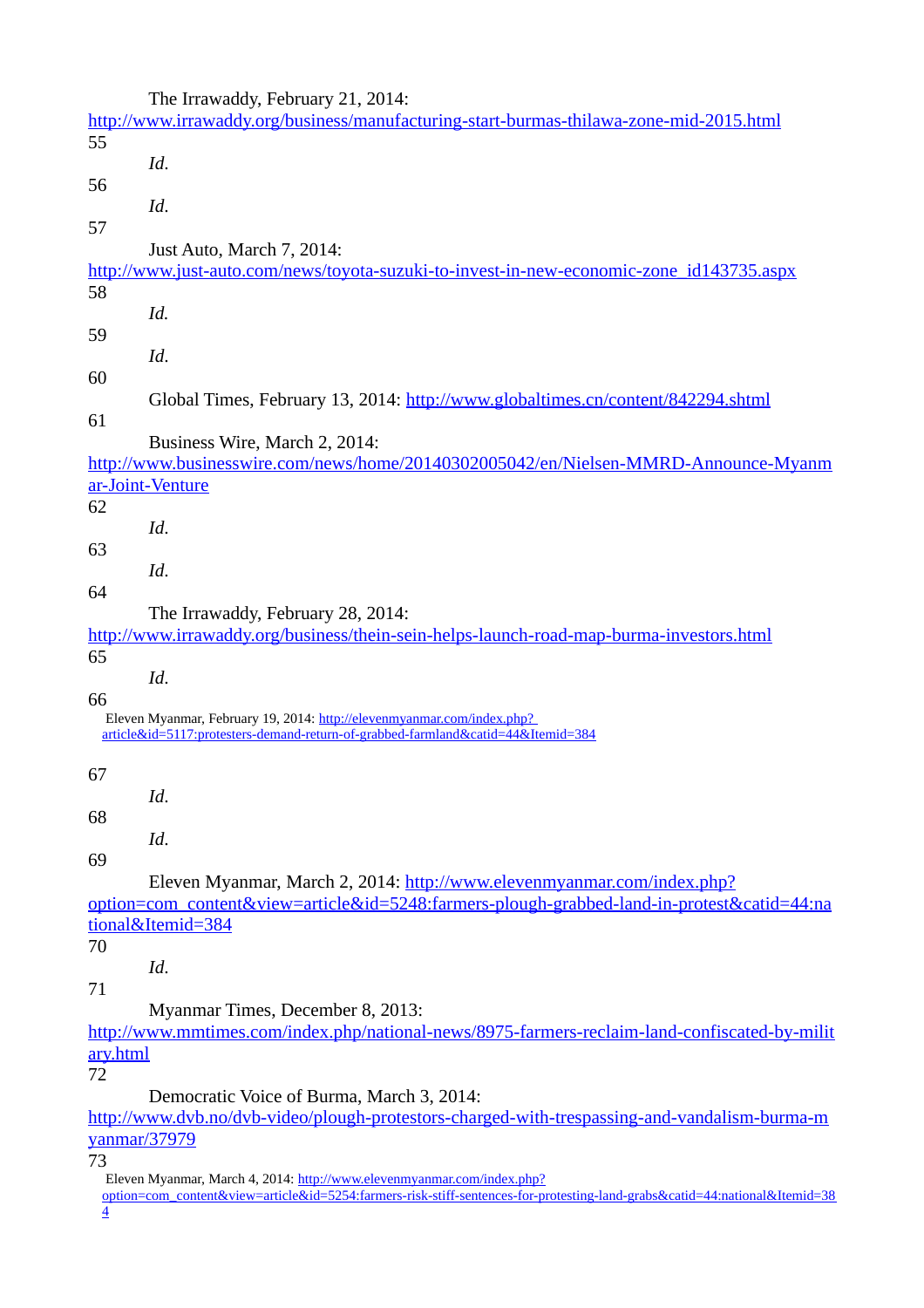|                 | The Irrawaddy, February 21, 2014:                                                                                                                          |
|-----------------|------------------------------------------------------------------------------------------------------------------------------------------------------------|
|                 | http://www.irrawaddy.org/business/manufacturing-start-burmas-thilawa-zone-mid-2015.html                                                                    |
| 55              |                                                                                                                                                            |
|                 | Id.                                                                                                                                                        |
| 56              |                                                                                                                                                            |
|                 | Id.                                                                                                                                                        |
| 57              |                                                                                                                                                            |
|                 | Just Auto, March 7, 2014:                                                                                                                                  |
|                 | http://www.just-auto.com/news/toyota-suzuki-to-invest-in-new-economic-zone_id143735.aspx                                                                   |
| 58              |                                                                                                                                                            |
|                 | Id.                                                                                                                                                        |
|                 |                                                                                                                                                            |
| 59              |                                                                                                                                                            |
|                 | Id.                                                                                                                                                        |
| 60              |                                                                                                                                                            |
|                 | Global Times, February 13, 2014: http://www.globaltimes.cn/content/842294.shtml                                                                            |
| 61              |                                                                                                                                                            |
|                 | Business Wire, March 2, 2014:                                                                                                                              |
|                 | http://www.businesswire.com/news/home/20140302005042/en/Nielsen-MMRD-Announce-Myanm                                                                        |
|                 | ar-Joint-Venture                                                                                                                                           |
| 62              |                                                                                                                                                            |
|                 | Id.                                                                                                                                                        |
| 63              |                                                                                                                                                            |
|                 | Id.                                                                                                                                                        |
| 64              |                                                                                                                                                            |
|                 | The Irrawaddy, February 28, 2014:                                                                                                                          |
|                 | http://www.irrawaddy.org/business/thein-sein-helps-launch-road-map-burma-investors.html                                                                    |
| 65              |                                                                                                                                                            |
|                 |                                                                                                                                                            |
|                 | Id.                                                                                                                                                        |
| 66              |                                                                                                                                                            |
|                 | Eleven Myanmar, February 19, 2014: http://elevenmyanmar.com/index.php?<br>article&id=5117:protesters-demand-return-of-grabbed-farmland&catid=44&Itemid=384 |
|                 |                                                                                                                                                            |
| 67              |                                                                                                                                                            |
|                 | Id.                                                                                                                                                        |
| 68              |                                                                                                                                                            |
|                 | Id.                                                                                                                                                        |
|                 |                                                                                                                                                            |
| 69              |                                                                                                                                                            |
|                 | Eleven Myanmar, March 2, 2014: http://www.elevenmyanmar.com/index.php?                                                                                     |
|                 | option=com_content&view=article&id=5248:farmers-plough-grabbed-land-in-protest&catid=44:na                                                                 |
|                 | tional&Itemid=384                                                                                                                                          |
| 70              |                                                                                                                                                            |
|                 | Id.                                                                                                                                                        |
| 71              |                                                                                                                                                            |
|                 | Myanmar Times, December 8, 2013:                                                                                                                           |
|                 | http://www.mmtimes.com/index.php/national-news/8975-farmers-reclaim-land-confiscated-by-milit                                                              |
| <u>ary.html</u> |                                                                                                                                                            |
| 72              |                                                                                                                                                            |
|                 | Democratic Voice of Burma, March 3, 2014:                                                                                                                  |
|                 | http://www.dvb.no/dvb-video/plough-protestors-charged-with-trespassing-and-vandalism-burma-m                                                               |
|                 | <u>yanmar/37979</u>                                                                                                                                        |
|                 |                                                                                                                                                            |

73

[option=com\\_content&view=article&id=5254:farmers-risk-stiff-sentences-for-protesting-land-grabs&catid=44:national&Itemid=38](http://www.elevenmyanmar.com/index.php?option=com_content&view=article&id=5254:farmers-risk-stiff-sentences-for-protesting-land-grabs&catid=44:national&Itemid=384) [4](http://www.elevenmyanmar.com/index.php?option=com_content&view=article&id=5254:farmers-risk-stiff-sentences-for-protesting-land-grabs&catid=44:national&Itemid=384)

Eleven Myanmar, March 4, 2014: [http://www.elevenmyanmar.com/index.php?](http://www.elevenmyanmar.com/index.php?option=com_content&view=article&id=5254:farmers-risk-stiff-sentences-for-protesting-land-grabs&catid=44:national&Itemid=384)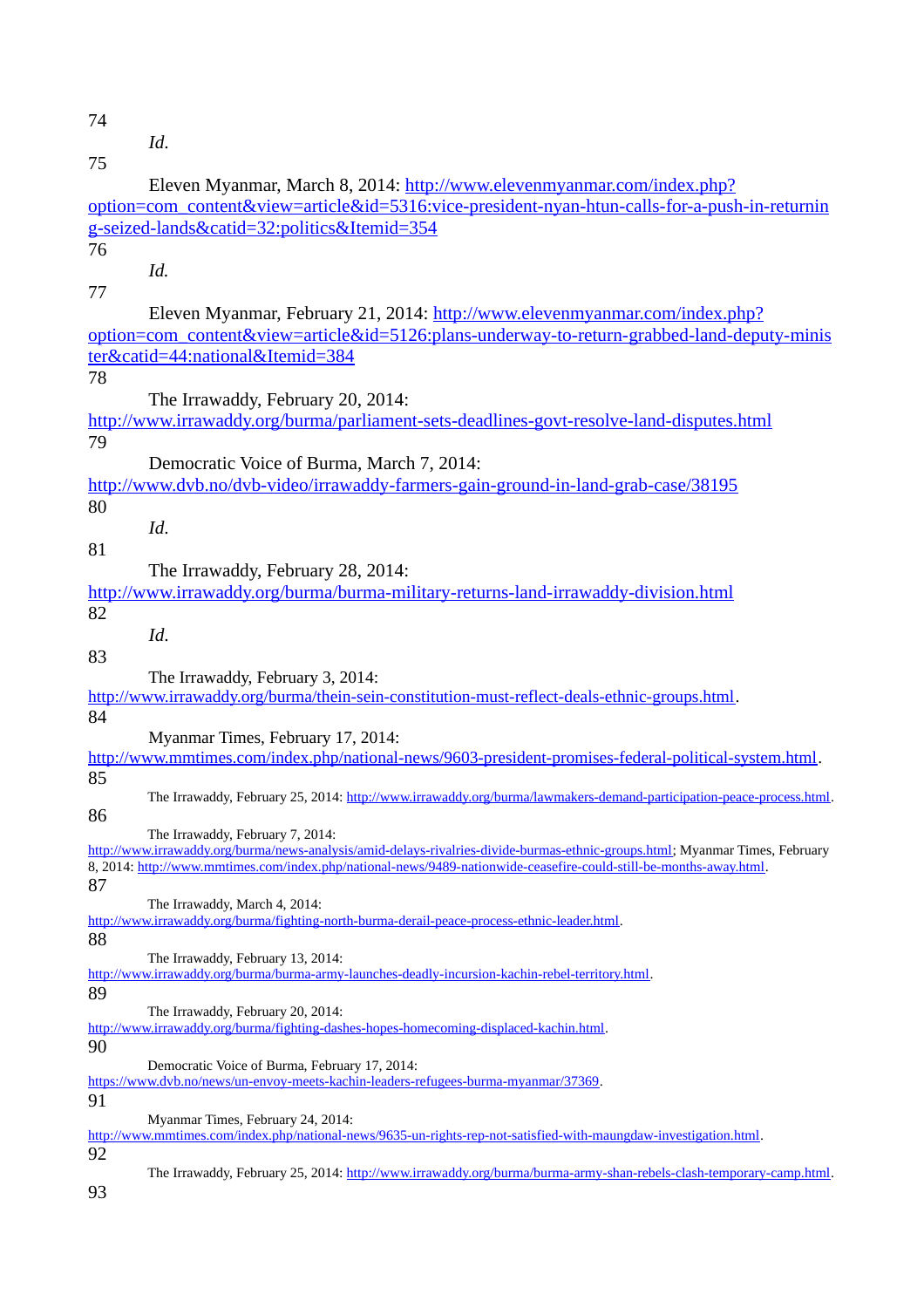74

*Id*.

| 75 |                                                                                                                               |
|----|-------------------------------------------------------------------------------------------------------------------------------|
|    | Eleven Myanmar, March 8, 2014: http://www.elevenmyanmar.com/index.php?                                                        |
|    | option=com_content&view=article&id=5316:vice-president-nyan-htun-calls-for-a-push-in-returnin                                 |
|    | g-seized-lands&catid=32:politics&Itemid=354                                                                                   |
| 76 |                                                                                                                               |
|    | Id.                                                                                                                           |
| 77 |                                                                                                                               |
|    | Eleven Myanmar, February 21, 2014: http://www.elevenmyanmar.com/index.php?                                                    |
|    | option=com_content&view=article&id=5126:plans-underway-to-return-grabbed-land-deputy-minis                                    |
|    | ter&catid=44:national&Itemid=384                                                                                              |
| 78 |                                                                                                                               |
|    | The Irrawaddy, February 20, 2014:                                                                                             |
|    | http://www.irrawaddy.org/burma/parliament-sets-deadlines-govt-resolve-land-disputes.html                                      |
| 79 |                                                                                                                               |
|    |                                                                                                                               |
|    | Democratic Voice of Burma, March 7, 2014:                                                                                     |
|    | http://www.dvb.no/dvb-video/irrawaddy-farmers-gain-ground-in-land-grab-case/38195                                             |
| 80 |                                                                                                                               |
|    | Id.                                                                                                                           |
| 81 |                                                                                                                               |
|    | The Irrawaddy, February 28, 2014:                                                                                             |
|    | http://www.irrawaddy.org/burma/burma-military-returns-land-irrawaddy-division.html                                            |
| 82 |                                                                                                                               |
|    | Id.                                                                                                                           |
| 83 |                                                                                                                               |
|    | The Irrawaddy, February 3, 2014:                                                                                              |
|    | http://www.irrawaddy.org/burma/thein-sein-constitution-must-reflect-deals-ethnic-groups.html.                                 |
| 84 |                                                                                                                               |
|    | Myanmar Times, February 17, 2014:                                                                                             |
|    | http://www.mmtimes.com/index.php/national-news/9603-president-promises-federal-political-system.html.                         |
| 85 | The Irrawaddy, February 25, 2014: http://www.irrawaddy.org/burma/lawmakers-demand-participation-peace-process.html.           |
| 86 |                                                                                                                               |
|    | The Irrawaddy, February 7, 2014:                                                                                              |
|    | http://www.irrawaddy.org/burma/news-analysis/amid-delays-rivalries-divide-burmas-ethnic-groups.html; Myanmar Times, February  |
|    | 8, 2014: http://www.mmtimes.com/index.php/national-news/9489-nationwide-ceasefire-could-still-be-months-away.html.            |
| 87 |                                                                                                                               |
|    | The Irrawaddy, March 4, 2014:<br>http://www.irrawaddy.org/burma/fighting-north-burma-derail-peace-process-ethnic-leader.html. |
| 88 |                                                                                                                               |
|    | The Irrawaddy, February 13, 2014:                                                                                             |
|    | http://www.irrawaddy.org/burma/burma-army-launches-deadly-incursion-kachin-rebel-territory.html.                              |
| 89 |                                                                                                                               |
|    | The Irrawaddy, February 20, 2014:                                                                                             |
| 90 | http://www.irrawaddy.org/burma/fighting-dashes-hopes-homecoming-displaced-kachin.html.                                        |
|    | Democratic Voice of Burma, February 17, 2014:                                                                                 |
|    | https://www.dvb.no/news/un-envoy-meets-kachin-leaders-refugees-burma-myanmar/37369.                                           |
| 91 |                                                                                                                               |
|    | Myanmar Times, February 24, 2014:                                                                                             |
|    | http://www.mmtimes.com/index.php/national-news/9635-un-rights-rep-not-satisfied-with-maungdaw-investigation.html.             |
| 92 |                                                                                                                               |
| 93 | The Irrawaddy, February 25, 2014: http://www.irrawaddy.org/burma/burma-army-shan-rebels-clash-temporary-camp.html.            |
|    |                                                                                                                               |